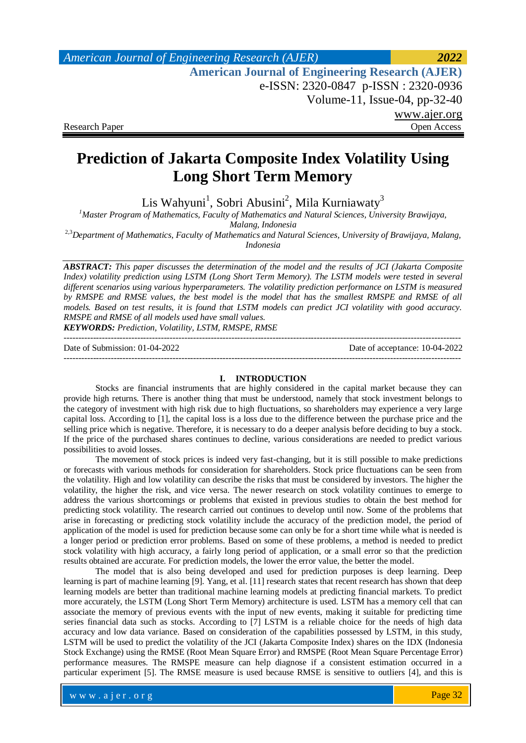## *American Journal of Engineering Research (AJER) 2022*  **American Journal of Engineering Research (AJER)** e-ISSN: 2320-0847 p-ISSN : 2320-0936 Volume-11, Issue-04, pp-32-40 www.ajer.org Research Paper **Open Access** Open Access **Open Access**

# **Prediction of Jakarta Composite Index Volatility Using Long Short Term Memory**

Lis Wahyuni<sup>1</sup>, Sobri Abusini<sup>2</sup>, Mila Kurniawaty<sup>3</sup>

*<sup>1</sup>Master Program of Mathematics, Faculty of Mathematics and Natural Sciences, University Brawijaya, Malang, Indonesia*

2,3*Department of Mathematics, Faculty of Mathematics and Natural Sciences, University of Brawijaya, Malang, Indonesia*

*ABSTRACT: This paper discusses the determination of the model and the results of JCI (Jakarta Composite Index) volatility prediction using LSTM (Long Short Term Memory). The LSTM models were tested in several different scenarios using various hyperparameters. The volatility prediction performance on LSTM is measured by RMSPE and RMSE values, the best model is the model that has the smallest RMSPE and RMSE of all models. Based on test results, it is found that LSTM models can predict JCI volatility with good accuracy. RMSPE and RMSE of all models used have small values.*

*KEYWORDS: Prediction, Volatility, LSTM, RMSPE, RMSE* ---------------------------------------------------------------------------------------------------------------------------------------

Date of Submission: 01-04-2022 Date of acceptance: 10-04-2022

---------------------------------------------------------------------------------------------------------------------------------------

#### **I. INTRODUCTION**

Stocks are financial instruments that are highly considered in the capital market because they can provide high returns. There is another thing that must be understood, namely that stock investment belongs to the category of investment with high risk due to high fluctuations, so shareholders may experience a very large capital loss. According to [1], the capital loss is a loss due to the difference between the purchase price and the selling price which is negative. Therefore, it is necessary to do a deeper analysis before deciding to buy a stock. If the price of the purchased shares continues to decline, various considerations are needed to predict various possibilities to avoid losses.

The movement of stock prices is indeed very fast-changing, but it is still possible to make predictions or forecasts with various methods for consideration for shareholders. Stock price fluctuations can be seen from the volatility. High and low volatility can describe the risks that must be considered by investors. The higher the volatility, the higher the risk, and vice versa. The newer research on stock volatility continues to emerge to address the various shortcomings or problems that existed in previous studies to obtain the best method for predicting stock volatility. The research carried out continues to develop until now. Some of the problems that arise in forecasting or predicting stock volatility include the accuracy of the prediction model, the period of application of the model is used for prediction because some can only be for a short time while what is needed is a longer period or prediction error problems. Based on some of these problems, a method is needed to predict stock volatility with high accuracy, a fairly long period of application, or a small error so that the prediction results obtained are accurate. For prediction models, the lower the error value, the better the model.

The model that is also being developed and used for prediction purposes is deep learning. Deep learning is part of machine learning [9]. Yang, et al. [11] research states that recent research has shown that deep learning models are better than traditional machine learning models at predicting financial markets. To predict more accurately, the LSTM (Long Short Term Memory) architecture is used. LSTM has a memory cell that can associate the memory of previous events with the input of new events, making it suitable for predicting time series financial data such as stocks. According to [7] LSTM is a reliable choice for the needs of high data accuracy and low data variance. Based on consideration of the capabilities possessed by LSTM, in this study, LSTM will be used to predict the volatility of the JCI (Jakarta Composite Index) shares on the IDX (Indonesia Stock Exchange) using the RMSE (Root Mean Square Error) and RMSPE (Root Mean Square Percentage Error) performance measures. The RMSPE measure can help diagnose if a consistent estimation occurred in a particular experiment [5]. The RMSE measure is used because RMSE is sensitive to outliers [4], and this is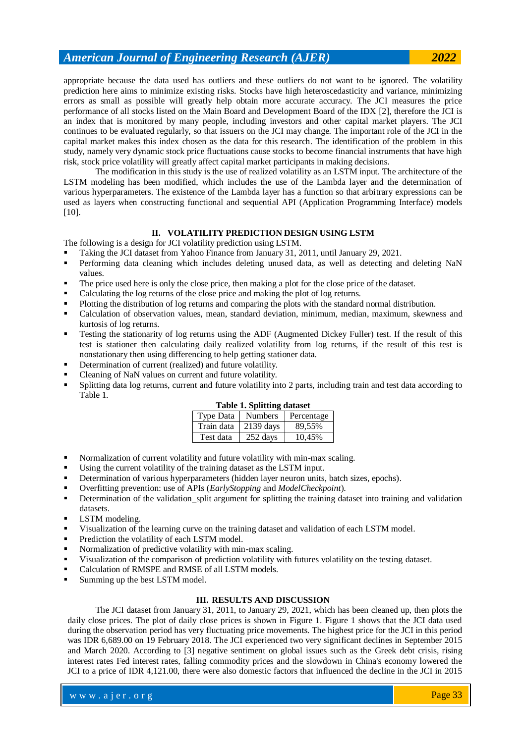appropriate because the data used has outliers and these outliers do not want to be ignored. The volatility prediction here aims to minimize existing risks. Stocks have high heteroscedasticity and variance, minimizing errors as small as possible will greatly help obtain more accurate accuracy. The JCI measures the price performance of all stocks listed on the Main Board and Development Board of the IDX [2], therefore the JCI is an index that is monitored by many people, including investors and other capital market players. The JCI continues to be evaluated regularly, so that issuers on the JCI may change. The important role of the JCI in the capital market makes this index chosen as the data for this research. The identification of the problem in this study, namely very dynamic stock price fluctuations cause stocks to become financial instruments that have high risk, stock price volatility will greatly affect capital market participants in making decisions.

The modification in this study is the use of realized volatility as an LSTM input. The architecture of the LSTM modeling has been modified, which includes the use of the Lambda layer and the determination of various hyperparameters. The existence of the Lambda layer has a function so that arbitrary expressions can be used as layers when constructing functional and sequential API (Application Programming Interface) models [10].

#### **II. VOLATILITY PREDICTION DESIGN USING LSTM**

The following is a design for JCI volatility prediction using LSTM.

- Taking the JCI dataset from Yahoo Finance from January 31, 2011, until January 29, 2021.
- Performing data cleaning which includes deleting unused data, as well as detecting and deleting NaN values.
- The price used here is only the close price, then making a plot for the close price of the dataset.
- Calculating the log returns of the close price and making the plot of log returns.
- Plotting the distribution of log returns and comparing the plots with the standard normal distribution.
- Calculation of observation values, mean, standard deviation, minimum, median, maximum, skewness and kurtosis of log returns.
- Testing the stationarity of log returns using the ADF (Augmented Dickey Fuller) test. If the result of this test is stationer then calculating daily realized volatility from log returns, if the result of this test is nonstationary then using differencing to help getting stationer data.
- Determination of current (realized) and future volatility.
- Cleaning of NaN values on current and future volatility.
- Splitting data log returns, current and future volatility into 2 parts, including train and test data according to Table 1.

|  | <b>Table 1. Splitting dataset</b> |
|--|-----------------------------------|
|  |                                   |

| Type Data  | <b>Numbers</b> | Percentage |
|------------|----------------|------------|
| Train data | $2139$ days    | 89.55%     |
| Test data  | $252$ days     | 10.45%     |

- Normalization of current volatility and future volatility with min-max scaling.
- Using the current volatility of the training dataset as the LSTM input.
- Determination of various hyperparameters (hidden layer neuron units, batch sizes, epochs).
- Overfitting prevention: use of APIs (*EarlyStopping* and *ModelCheckpoint*).
- Determination of the validation\_split argument for splitting the training dataset into training and validation datasets.
- LSTM modeling.
- Visualization of the learning curve on the training dataset and validation of each LSTM model.
- Prediction the volatility of each LSTM model.
- Normalization of predictive volatility with min-max scaling.
- Visualization of the comparison of prediction volatility with futures volatility on the testing dataset.
- Calculation of RMSPE and RMSE of all LSTM models.
- Summing up the best LSTM model.

#### **III. RESULTS AND DISCUSSION**

The JCI dataset from January 31, 2011, to January 29, 2021, which has been cleaned up, then plots the daily close prices. The plot of daily close prices is shown in Figure 1. Figure 1 shows that the JCI data used during the observation period has very fluctuating price movements. The highest price for the JCI in this period was IDR 6,689.00 on 19 February 2018. The JCI experienced two very significant declines in September 2015 and March 2020. According to [3] negative sentiment on global issues such as the Greek debt crisis, rising interest rates Fed interest rates, falling commodity prices and the slowdown in China's economy lowered the JCI to a price of IDR 4,121.00, there were also domestic factors that influenced the decline in the JCI in 2015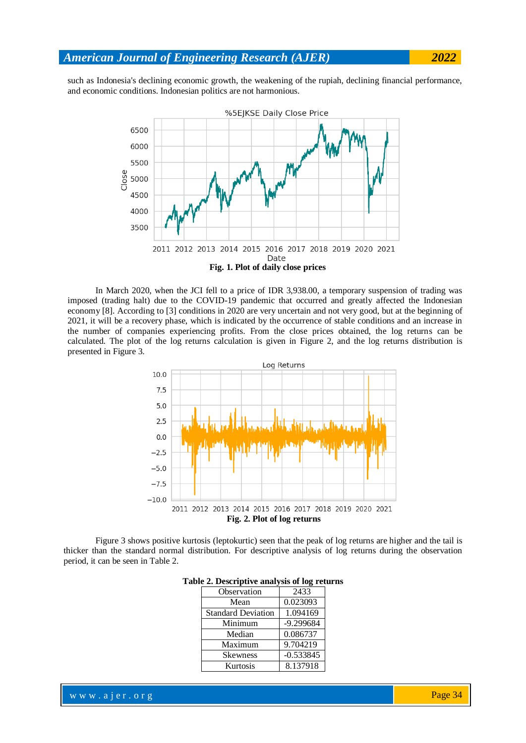such as Indonesia's declining economic growth, the weakening of the rupiah, declining financial performance, and economic conditions. Indonesian politics are not harmonious.



In March 2020, when the JCI fell to a price of IDR 3,938.00, a temporary suspension of trading was imposed (trading halt) due to the COVID-19 pandemic that occurred and greatly affected the Indonesian economy [8]. According to [3] conditions in 2020 are very uncertain and not very good, but at the beginning of 2021, it will be a recovery phase, which is indicated by the occurrence of stable conditions and an increase in the number of companies experiencing profits. From the close prices obtained, the log returns can be calculated. The plot of the log returns calculation is given in Figure 2, and the log returns distribution is presented in Figure 3.



Figure 3 shows positive kurtosis (leptokurtic) seen that the peak of log returns are higher and the tail is thicker than the standard normal distribution. For descriptive analysis of log returns during the observation period, it can be seen in Table 2.

| Observation               | 2433        |
|---------------------------|-------------|
| Mean                      | 0.023093    |
| <b>Standard Deviation</b> | 1.094169    |
| Minimum                   | $-9.299684$ |
| Median                    | 0.086737    |
| Maximum                   | 9.704219    |
| <b>Skewness</b>           | $-0.533845$ |
| Kurtosis                  | 8.137918    |

#### **Table 2. Descriptive analysis of log returns**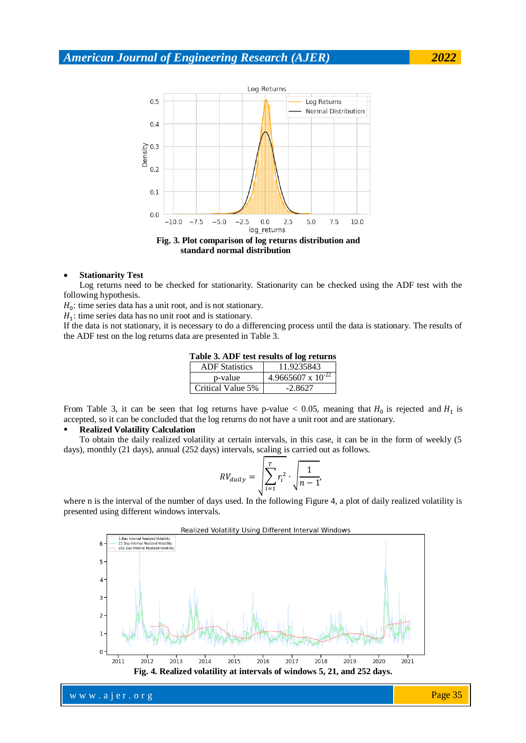

#### **Stationarity Test**

Log returns need to be checked for stationarity. Stationarity can be checked using the ADF test with the following hypothesis.

 $H_0$ : time series data has a unit root, and is not stationary.

 $H_1$ : time series data has no unit root and is stationary.

If the data is not stationary, it is necessary to do a differencing process until the data is stationary. The results of the ADF test on the log returns data are presented in Table 3.

| Table 3. ADF test results of log returns |  |
|------------------------------------------|--|
|------------------------------------------|--|

| <b>ADF</b> Statistics | 11.9235843             |
|-----------------------|------------------------|
| p-value               | 4.9665607 x $10^{-22}$ |
| Critical Value 5%     | $-2.8627$              |

From Table 3, it can be seen that log returns have p-value  $< 0.05$ , meaning that  $H_0$  is rejected and  $H_1$  is accepted, so it can be concluded that the log returns do not have a unit root and are stationary.

#### **Realized Volatility Calculation**

To obtain the daily realized volatility at certain intervals, in this case, it can be in the form of weekly (5 days), monthly (21 days), annual (252 days) intervals, scaling is carried out as follows.

$$
RV_{daily} = \sqrt{\sum_{i=1}^{T} r_i^2 \cdot \sqrt{\frac{1}{n-1}}}
$$

where n is the interval of the number of days used. In the following Figure 4, a plot of daily realized volatility is presented using different windows intervals.



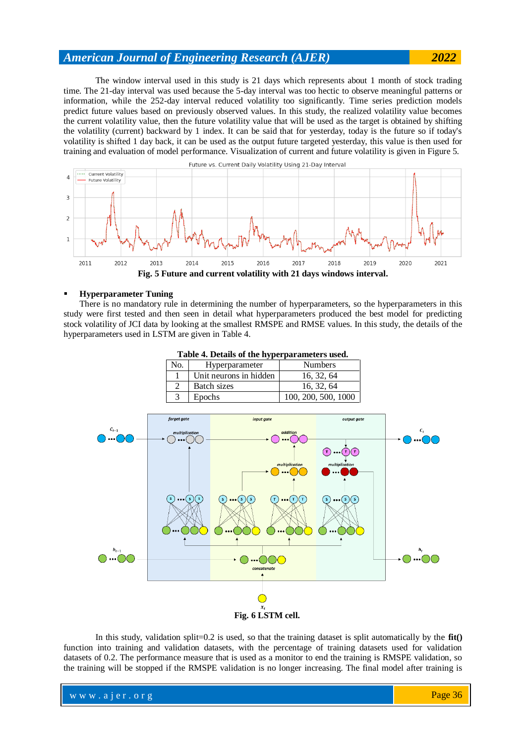The window interval used in this study is 21 days which represents about 1 month of stock trading time. The 21-day interval was used because the 5-day interval was too hectic to observe meaningful patterns or information, while the 252-day interval reduced volatility too significantly. Time series prediction models predict future values based on previously observed values. In this study, the realized volatility value becomes the current volatility value, then the future volatility value that will be used as the target is obtained by shifting the volatility (current) backward by 1 index. It can be said that for yesterday, today is the future so if today's volatility is shifted 1 day back, it can be used as the output future targeted yesterday, this value is then used for training and evaluation of model performance. Visualization of current and future volatility is given in Figure 5.



#### **Hyperparameter Tuning**

There is no mandatory rule in determining the number of hyperparameters, so the hyperparameters in this study were first tested and then seen in detail what hyperparameters produced the best model for predicting stock volatility of JCI data by looking at the smallest RMSPE and RMSE values. In this study, the details of the hyperparameters used in LSTM are given in Table 4.

| Table 4. Details of the hyperparameters used. |                        |                     |  |
|-----------------------------------------------|------------------------|---------------------|--|
| No.                                           | Hyperparameter         | <b>Numbers</b>      |  |
|                                               | Unit neurons in hidden | 16, 32, 64          |  |
| $\mathcal{D}_{\mathcal{L}}$                   | Batch sizes            | 16, 32, 64          |  |
| 3                                             | Epochs                 | 100, 200, 500, 1000 |  |



In this study, validation split=0.2 is used, so that the training dataset is split automatically by the **fit()** function into training and validation datasets, with the percentage of training datasets used for validation datasets of 0.2. The performance measure that is used as a monitor to end the training is RMSPE validation, so the training will be stopped if the RMSPE validation is no longer increasing. The final model after training is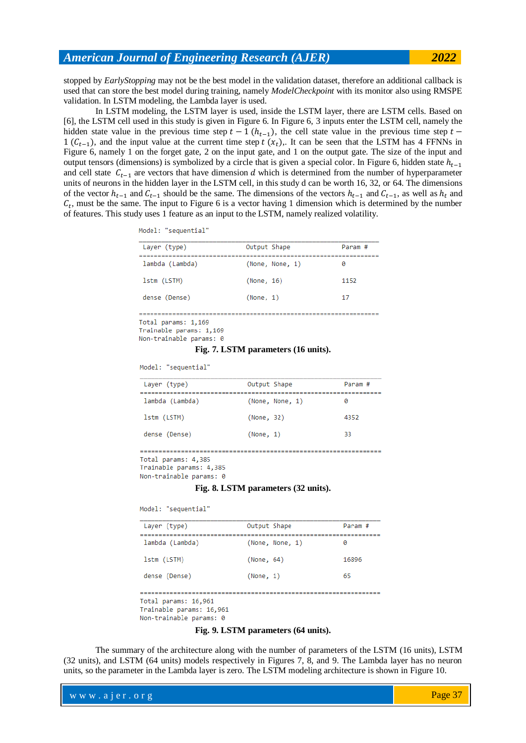stopped by *EarlyStopping* may not be the best model in the validation dataset, therefore an additional callback is used that can store the best model during training, namely *ModelCheckpoint* with its monitor also using RMSPE validation. In LSTM modeling, the Lambda layer is used.

In LSTM modeling, the LSTM layer is used, inside the LSTM layer, there are LSTM cells. Based on [6], the LSTM cell used in this study is given in Figure 6. In Figure 6, 3 inputs enter the LSTM cell, namely the hidden state value in the previous time step  $t - 1$  ( $h_{t-1}$ ), the cell state value in the previous time step  $1(C_{t-1})$ , and the input value at the current time step t  $(x_t)$ . It can be seen that the LSTM has 4 FFNNs in Figure 6, namely 1 on the forget gate, 2 on the input gate, and 1 on the output gate. The size of the input and output tensors (dimensions) is symbolized by a circle that is given a special color. In Figure 6, hidden state  $h_{t-1}$ and cell state  $C_{t-1}$  are vectors that have dimension d which is determined from the number of hyperparameter units of neurons in the hidden layer in the LSTM cell, in this study d can be worth 16, 32, or 64. The dimensions of the vector  $h_{t-1}$  and  $C_{t-1}$  should be the same. The dimensions of the vectors  $h_{t-1}$  and  $C_{t-1}$ , as well as  $h_t$  and  $C_t$ , must be the same. The input to Figure 6 is a vector having 1 dimension which is determined by the number of features. This study uses 1 feature as an input to the LSTM, namely realized volatility.

| Model: |  |  | sequential" |  |  |
|--------|--|--|-------------|--|--|
|        |  |  |             |  |  |

| Layer (type)    | Output Shape    | Param # |
|-----------------|-----------------|---------|
| lambda (Lambda) | (None, None, 1) | ø       |
| lstm (LSTM)     | (None, 16)      | 1152    |
| dense (Dense)   | (None, 1)       | 17      |

Trainable params: 1,169

#### **Fig. 7. LSTM parameters (16 units).**

Model: "sequential"

| Layer (type)    | Output Shape    | Param # |
|-----------------|-----------------|---------|
| lambda (Lambda) | (None, None, 1) | ø       |
| lstm (LSTM)     | (None, 32)      | 4352    |
| dense (Dense)   | (None, 1)       | 33      |
|                 |                 |         |

Total params: 4.385

Trainable params: 4,385 Non-trainable params: 0

#### **Fig. 8. LSTM parameters (32 units).**

Model: "sequential"

| Layer (type)    | Output Shape    | Param # |
|-----------------|-----------------|---------|
| lambda (Lambda) | (None, None, 1) | ø       |
| 1stm (LSTM)     | (None, 64)      | 16896   |
| dense (Dense)   | (None, 1)       | 65      |
|                 |                 |         |

Total params: 16,961

Trainable params: 16,961

Non-trainable params: 0

#### **Fig. 9. LSTM parameters (64 units).**

The summary of the architecture along with the number of parameters of the LSTM (16 units), LSTM (32 units), and LSTM (64 units) models respectively in Figures 7, 8, and 9. The Lambda layer has no neuron units, so the parameter in the Lambda layer is zero. The LSTM modeling architecture is shown in Figure 10.

Non-trainable params: 0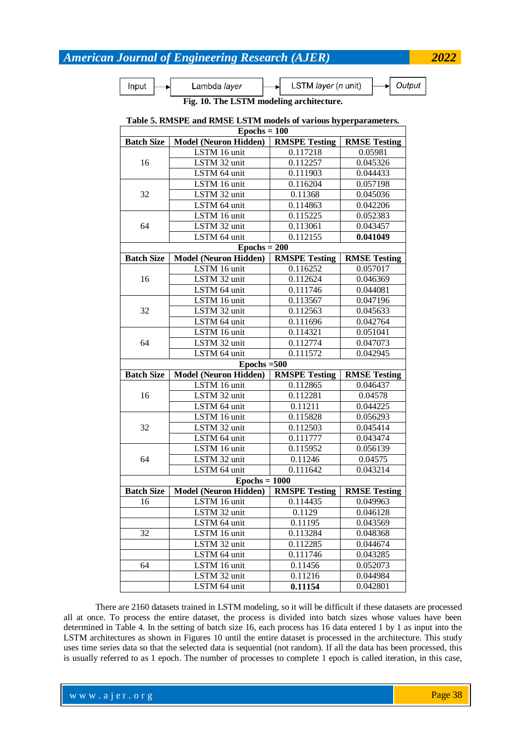Input

LSTM layer (n unit) Lambda layer

Output

**Fig. 10. The LSTM modeling architecture.**

### **Table 5. RMSPE and RMSE LSTM models of various hyperparameters.**

| $Epochs = 100$    |                              |                      |                     |  |
|-------------------|------------------------------|----------------------|---------------------|--|
| <b>Batch Size</b> | <b>Model (Neuron Hidden)</b> | <b>RMSPE Testing</b> | <b>RMSE Testing</b> |  |
|                   | LSTM 16 unit                 | 0.117218             | 0.05981             |  |
| 16                | LSTM 32 unit                 | 0.112257             | 0.045326            |  |
|                   | LSTM 64 unit                 | 0.111903             | 0.044433            |  |
|                   | LSTM 16 unit                 | 0.116204             | 0.057198            |  |
| 32                | LSTM 32 unit                 | 0.11368              | 0.045036            |  |
|                   | LSTM 64 unit                 | 0.114863             | 0.042206            |  |
|                   | LSTM 16 unit                 | 0.115225             | 0.052383            |  |
| 64                | LSTM 32 unit                 | 0.113061             | 0.043457            |  |
|                   | LSTM 64 unit                 | 0.112155             | 0.041049            |  |
|                   | $Epochs = 200$               |                      |                     |  |
| <b>Batch Size</b> | <b>Model (Neuron Hidden)</b> | <b>RMSPE Testing</b> | <b>RMSE Testing</b> |  |
|                   | LSTM 16 unit                 | 0.116252             | 0.057017            |  |
| 16                | LSTM 32 unit                 | 0.112624             | 0.046369            |  |
|                   | LSTM 64 unit                 | 0.111746             | 0.044081            |  |
|                   | LSTM 16 unit                 | 0.113567             | 0.047196            |  |
| 32                | LSTM 32 unit                 | 0.112563             | 0.045633            |  |
|                   | LSTM 64 unit                 | 0.111696             | 0.042764            |  |
|                   | LSTM 16 unit                 | 0.114321             | 0.051041            |  |
| 64                | LSTM 32 unit                 | 0.112774             | 0.047073            |  |
|                   | LSTM 64 unit                 | 0.111572             | 0.042945            |  |
|                   | $Epochs = 500$               |                      |                     |  |
| <b>Batch Size</b> | <b>Model (Neuron Hidden)</b> | <b>RMSPE Testing</b> | <b>RMSE Testing</b> |  |
|                   | LSTM 16 unit                 | 0.112865             | 0.046437            |  |
| 16                | LSTM 32 unit                 | 0.112281             | 0.04578             |  |
|                   | LSTM 64 unit                 | 0.11211              | 0.044225            |  |
|                   | LSTM 16 unit                 | 0.115828             | 0.056293            |  |
| 32                | LSTM 32 unit                 | 0.112503             | 0.045414            |  |
|                   | LSTM 64 unit                 | 0.111777             | 0.043474            |  |
|                   | LSTM 16 unit                 | 0.115952             | 0.056139            |  |
| 64                | LSTM 32 unit                 | 0.11246              | 0.04575             |  |
|                   | LSTM 64 unit                 | 0.111642             | 0.043214            |  |
|                   | $Epochs = 1000$              |                      |                     |  |
| <b>Batch Size</b> | <b>Model (Neuron Hidden)</b> | <b>RMSPE Testing</b> | <b>RMSE Testing</b> |  |
| 16                | LSTM 16 unit                 | 0.114435             | 0.049963            |  |
|                   | LSTM 32 unit                 | 0.1129               | 0.046128            |  |
|                   | LSTM 64 unit                 | 0.11195              | 0.043569            |  |
| 32                | LSTM 16 unit                 | 0.113284             | 0.048368            |  |
|                   | LSTM 32 unit                 | 0.112285             | 0.044674            |  |
|                   | LSTM 64 unit                 | 0.111746             | 0.043285            |  |
| 64                | LSTM 16 unit                 | 0.11456              | 0.052073            |  |
|                   |                              |                      |                     |  |
|                   | LSTM 32 unit<br>LSTM 64 unit | 0.11216<br>0.11154   | 0.044984            |  |

There are 2160 datasets trained in LSTM modeling, so it will be difficult if these datasets are processed all at once. To process the entire dataset, the process is divided into batch sizes whose values have been determined in Table 4. In the setting of batch size 16, each process has 16 data entered 1 by 1 as input into the LSTM architectures as shown in Figures 10 until the entire dataset is processed in the architecture. This study uses time series data so that the selected data is sequential (not random). If all the data has been processed, this is usually referred to as 1 epoch. The number of processes to complete 1 epoch is called iteration, in this case,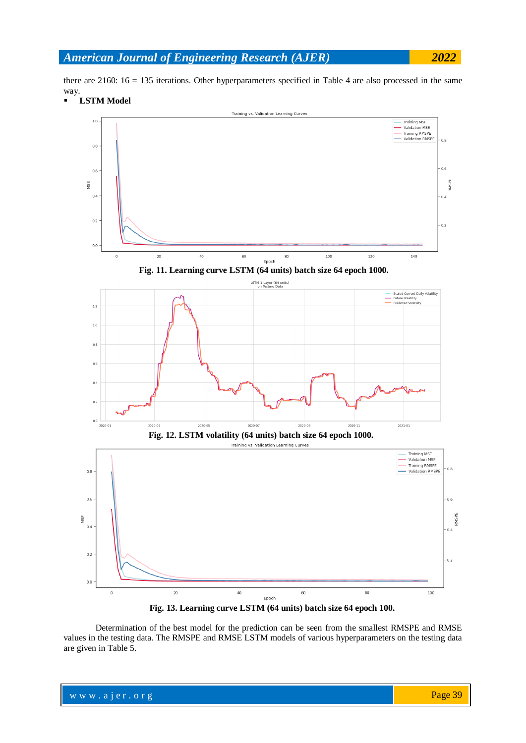there are 2160: 16 = 135 iterations. Other hyperparameters specified in Table 4 are also processed in the same way.



**Fig. 13. Learning curve LSTM (64 units) batch size 64 epoch 100.**

Determination of the best model for the prediction can be seen from the smallest RMSPE and RMSE values in the testing data. The RMSPE and RMSE LSTM models of various hyperparameters on the testing data are given in Table 5.